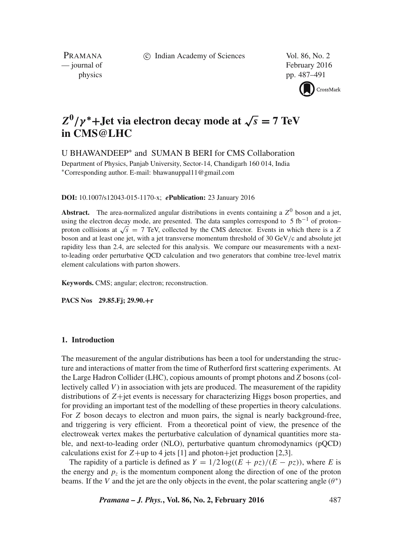c Indian Academy of Sciences Vol. 86, No. 2

PRAMANA<br>
— journal of

February 2016 physics pp. 487–491



# $Z^0/\gamma^*$ +**Jet via electron decay mode at**  $\sqrt{s} = 7$  TeV **in CMS@LHC**

U BHAWANDEEP∗ and SUMAN B BERI for CMS Collaboration

Department of Physics, Panjab University, Sector-14, Chandigarh 160 014, India ∗Corresponding author. E-mail: bhawanuppal11@gmail.com

**DOI:** 10.1007/s12043-015-1170-x; *e***Publication:** 23 January 2016

**Abstract.** The area-normalized angular distributions in events containing a  $Z^0$  boson and a jet, using the electron decay mode, are presented. The data samples correspond to 5 fb<sup>-1</sup> of proton– proton collisions at  $\sqrt{s}$  = 7 TeV, collected by the CMS detector. Events in which there is a Z boson and at least one jet, with a jet transverse momentum threshold of 30 GeV/c and absolute jet rapidity less than 2.4, are selected for this analysis. We compare our measurements with a nextto-leading order perturbative QCD calculation and two generators that combine tree-level matrix element calculations with parton showers.

**Keywords.** CMS; angular; electron; reconstruction.

**PACS Nos 29.85.Fj; 29.90.**+**r**

### **1. Introduction**

The measurement of the angular distributions has been a tool for understanding the structure and interactions of matter from the time of Rutherford first scattering experiments. At the Large Hadron Collider (LHC), copious amounts of prompt photons and *Z* bosons (collectively called  $V$ ) in association with jets are produced. The measurement of the rapidity distributions of Z+jet events is necessary for characterizing Higgs boson properties, and for providing an important test of the modelling of these properties in theory calculations. For Z boson decays to electron and muon pairs, the signal is nearly background-free, and triggering is very efficient. From a theoretical point of view, the presence of the electroweak vertex makes the perturbative calculation of dynamical quantities more stable, and next-to-leading order (NLO), perturbative quantum chromodynamics (pQCD) calculations exist for  $Z+up$  to 4 jets [1] and photon+jet production [2,3].

The rapidity of a particle is defined as  $Y = 1/2 \log((E + pz)/(E - pz))$ , where E is the energy and  $p<sub>z</sub>$  is the momentum component along the direction of one of the proton beams. If the V and the jet are the only objects in the event, the polar scattering angle  $(\theta^*)$ 

*Pramana – J. Phys.***, Vol. 86, No. 2, February 2016** 487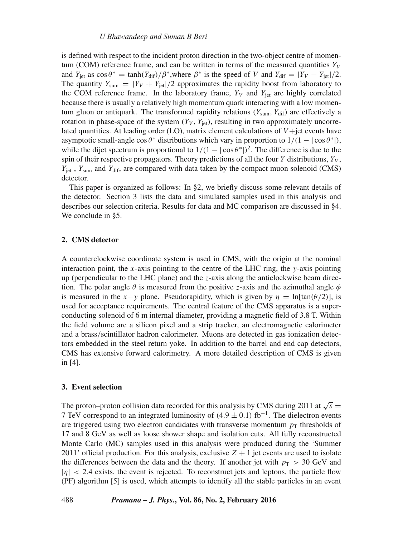is defined with respect to the incident proton direction in the two-object centre of momentum (COM) reference frame, and can be written in terms of the measured quantities  $Y_V$ and  $Y_{\text{jet}}$  as  $\cos \theta^* = \tanh(Y_{\text{dif}})/\beta^*$ , where  $\beta^*$  is the speed of V and  $Y_{\text{dif}} = |Y_V - Y_{\text{jet}}|/2$ . The quantity  $Y_{\text{sum}} = |Y_V + Y_{\text{jet}}|/2$  approximates the rapidity boost from laboratory to the COM reference frame. In the laboratory frame,  $Y_V$  and  $Y_{\text{jet}}$  are highly correlated because there is usually a relatively high momentum quark interacting with a low momentum gluon or antiquark. The transformed rapidity relations  $(Y_{sum}, Y_{diff})$  are effectively a rotation in phase-space of the system  $(Y_V, Y_{\text{jet}})$ , resulting in two approximately uncorrelated quantities. At leading order (LO), matrix element calculations of  $V +$  jet events have asymptotic small-angle  $\cos \theta^*$  distributions which vary in proportion to  $1/(1 - |\cos \theta^*|)$ , while the dijet spectrum is proportional to  $1/(1 - |\cos \theta^*|)^2$ . The difference is due to the spin of their respective propagators. Theory predictions of all the four Y distributions,  $Y_V$ ,  $Y_{jet}$ ,  $Y_{sum}$  and  $Y_{dif}$ , are compared with data taken by the compact muon solenoid (CMS) detector.

This paper is organized as follows: In §2, we briefly discuss some relevant details of the detector. Section 3 lists the data and simulated samples used in this analysis and describes our selection criteria. Results for data and MC comparison are discussed in §4. We conclude in §5.

## **2. CMS detector**

A counterclockwise coordinate system is used in CMS, with the origin at the nominal interaction point, the x-axis pointing to the centre of the LHC ring, the y-axis pointing up (perpendicular to the LHC plane) and the z-axis along the anticlockwise beam direction. The polar angle  $\theta$  is measured from the positive *z*-axis and the azimuthal angle  $\phi$ is measured in the x-y plane. Pseudorapidity, which is given by  $\eta = \ln[\tan(\theta/2)]$ , is used for acceptance requirements. The central feature of the CMS apparatus is a superconducting solenoid of 6 m internal diameter, providing a magnetic field of 3.8 T. Within the field volume are a silicon pixel and a strip tracker, an electromagnetic calorimeter and a brass/scintillator hadron calorimeter. Muons are detected in gas ionization detectors embedded in the steel return yoke. In addition to the barrel and end cap detectors, CMS has extensive forward calorimetry. A more detailed description of CMS is given in [4].

#### **3. Event selection**

The proton–proton collision data recorded for this analysis by CMS during 2011 at  $\sqrt{s}$  = 7 TeV correspond to an integrated luminosity of  $(4.9 \pm 0.1)$  fb<sup>-1</sup>. The dielectron events are triggered using two electron candidates with transverse momentum  $p<sub>T</sub>$  thresholds of 17 and 8 GeV as well as loose shower shape and isolation cuts. All fully reconstructed Monte Carlo (MC) samples used in this analysis were produced during the 'Summer 2011' official production. For this analysis, exclusive  $Z + 1$  jet events are used to isolate the differences between the data and the theory. If another jet with  $p_T > 30 \text{ GeV}$  and  $|\eta| < 2.4$  exists, the event is rejected. To reconstruct jets and leptons, the particle flow (PF) algorithm [5] is used, which attempts to identify all the stable particles in an event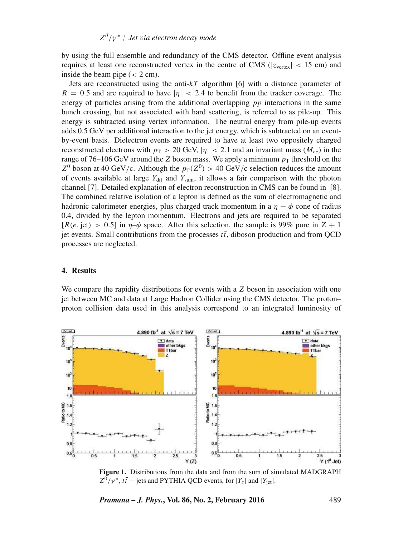by using the full ensemble and redundancy of the CMS detector. Offline event analysis requires at least one reconstructed vertex in the centre of CMS ( $|z_{vertex}| < 15$  cm) and inside the beam pipe  $(< 2 \text{ cm})$ .

Jets are reconstructed using the anti- $kT$  algorithm [6] with a distance parameter of  $R = 0.5$  and are required to have  $|\eta| < 2.4$  to benefit from the tracker coverage. The energy of particles arising from the additional overlapping  $pp$  interactions in the same bunch crossing, but not associated with hard scattering, is referred to as pile-up. This energy is subtracted using vertex information. The neutral energy from pile-up events adds 0.5 GeV per additional interaction to the jet energy, which is subtracted on an eventby-event basis. Dielectron events are required to have at least two oppositely charged reconstructed electrons with  $p_T > 20$  GeV,  $|\eta| < 2.1$  and an invariant mass  $(M_{ee})$  in the range of 76–106 GeV around the Z boson mass. We apply a minimum  $p<sub>T</sub>$  threshold on the  $Z^0$  boson at 40 GeV/c. Although the  $p_T(Z^0) > 40$  GeV/c selection reduces the amount of events available at large  $Y_{\text{dif}}$  and  $Y_{\text{sum}}$ , it allows a fair comparison with the photon channel [7]. Detailed explanation of electron reconstruction in CMS can be found in [8]. The combined relative isolation of a lepton is defined as the sum of electromagnetic and hadronic calorimeter energies, plus charged track momentum in a  $\eta - \phi$  cone of radius 0.4, divided by the lepton momentum. Electrons and jets are required to be separated  $[R(e, jet) > 0.5]$  in  $\eta-\phi$  space. After this selection, the sample is 99% pure in  $Z + 1$ jet events. Small contributions from the processes  $t\bar{t}$ , diboson production and from QCD processes are neglected.

### **4. Results**

We compare the rapidity distributions for events with a  $Z$  boson in association with one jet between MC and data at Large Hadron Collider using the CMS detector. The proton– proton collision data used in this analysis correspond to an integrated luminosity of



**Figure 1.** Distributions from the data and from the sum of simulated MADGRAPH  $Z^0/\gamma^*$ ,  $t\bar{t}$  + jets and PYTHIA QCD events, for  $|Y_z|$  and  $|Y_{jet}|$ .

*Pramana – J. Phys.***, Vol. 86, No. 2, February 2016** 489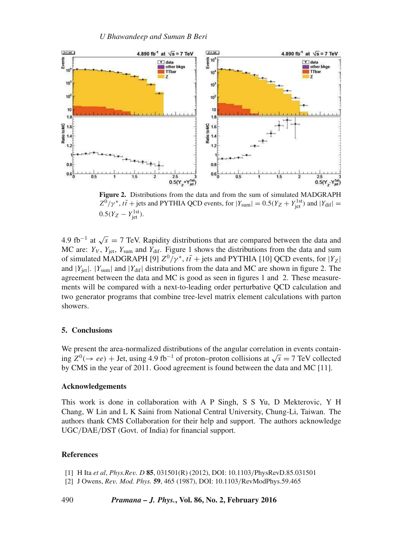

**Figure 2.** Distributions from the data and from the sum of simulated MADGRAPH  $Z^0/\gamma^*$ ,  $t\bar{t}$  + jets and PYTHIA QCD events, for  $|Y_{\text{sum}}| = 0.5(Y_Z + Y_{\text{jet}}^{\text{1st}})$  and  $|Y_{\text{dif}}|$  =  $0.5(Y_Z - Y_{jet}^{1st}).$ 

4.9 fb<sup>-1</sup> at  $\sqrt{s} = 7$  TeV. Rapidity distributions that are compared between the data and MC are:  $Y_V$ ,  $Y_{\text{jet}}$ ,  $Y_{\text{sum}}$  and  $Y_{\text{dif}}$ . Figure 1 shows the distributions from the data and sum of simulated MADGRAPH [9]  $Z^0/\gamma^*$ ,  $t\bar{t}$  + jets and PYTHIA [10] QCD events, for  $|Y_Z|$ and  $|Y_{\text{jet}}|$ .  $|Y_{\text{sum}}|$  and  $|Y_{\text{dif}}|$  distributions from the data and MC are shown in figure 2. The agreement between the data and MC is good as seen in figures 1 and 2. These measurements will be compared with a next-to-leading order perturbative QCD calculation and two generator programs that combine tree-level matrix element calculations with parton showers.

#### **5. Conclusions**

We present the area-normalized distributions of the angular correlation in events containing  $Z^0$ (→ ee) + Jet, using 4.9 fb<sup>-1</sup> of proton–proton collisions at  $\sqrt{s}$  = 7 TeV collected by CMS in the year of 2011. Good agreement is found between the data and MC [11].

#### **Acknowledgements**

This work is done in collaboration with A P Singh, S S Yu, D Mekterovic, Y H Chang, W Lin and L K Saini from National Central University, Chung-Li, Taiwan. The authors thank CMS Collaboration for their help and support. The authors acknowledge UGC/DAE/DST (Govt. of India) for financial support.

### **References**

- [1] H Ita *et al*, *Phys.Re*v*. D* **85**, 031501(R) (2012), DOI: 10.1103/PhysRevD.85.031501
- [2] J Owens, *Re*v*. Mod. Phys.* **59**, 465 (1987), DOI: 10.1103/RevModPhys.59.465